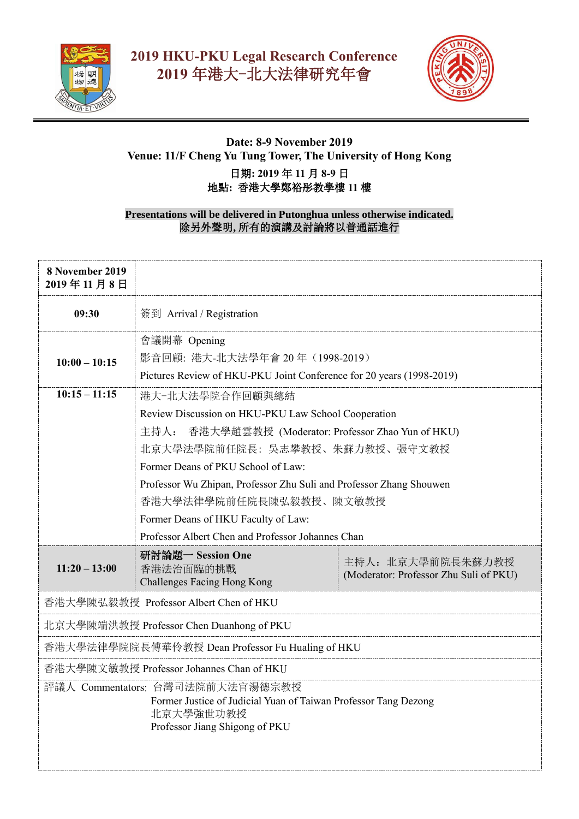



## **Date: 8-9 November 2019 Venue: 11/F Cheng Yu Tung Tower, The University of Hong Kong** 日期**: 2019** 年 **11** 月 **8-9** 日 地點**:** 香港大學鄭裕彤教學樓 **11** 樓

## **Presentations will be delivered in Putonghua unless otherwise indicated.** 除另外聲明**,** 所有的演講及討論將以普通話進行

| 8 November 2019<br>2019年11月8日                                                                                                                      |                                                                      |                                                             |  |  |
|----------------------------------------------------------------------------------------------------------------------------------------------------|----------------------------------------------------------------------|-------------------------------------------------------------|--|--|
| 09:30                                                                                                                                              | 簽到 Arrival / Registration                                            |                                                             |  |  |
|                                                                                                                                                    | 會議開幕 Opening                                                         |                                                             |  |  |
| $10:00 - 10:15$                                                                                                                                    | 影音回顧: 港大-北大法學年會 20年 (1998-2019)                                      |                                                             |  |  |
|                                                                                                                                                    | Pictures Review of HKU-PKU Joint Conference for 20 years (1998-2019) |                                                             |  |  |
| $10:15 - 11:15$                                                                                                                                    | 港大-北大法學院合作回顧與總結                                                      |                                                             |  |  |
|                                                                                                                                                    | Review Discussion on HKU-PKU Law School Cooperation                  |                                                             |  |  |
|                                                                                                                                                    | 主持人: 香港大學趙雲教授 (Moderator: Professor Zhao Yun of HKU)                 |                                                             |  |  |
|                                                                                                                                                    | 北京大學法學院前任院長: 吳志攀教授、朱蘇力教授、張守文教授                                       |                                                             |  |  |
|                                                                                                                                                    | Former Deans of PKU School of Law:                                   |                                                             |  |  |
|                                                                                                                                                    | Professor Wu Zhipan, Professor Zhu Suli and Professor Zhang Shouwen  |                                                             |  |  |
|                                                                                                                                                    | 香港大學法律學院前任院長陳弘毅教授、陳文敏教授                                              |                                                             |  |  |
|                                                                                                                                                    | Former Deans of HKU Faculty of Law:                                  |                                                             |  |  |
|                                                                                                                                                    | Professor Albert Chen and Professor Johannes Chan                    |                                                             |  |  |
| $11:20 - 13:00$                                                                                                                                    | 研討論題一 Session One<br>香港法治面臨的挑戰<br>Challenges Facing Hong Kong        | 主持人: 北京大學前院長朱蘇力教授<br>(Moderator: Professor Zhu Suli of PKU) |  |  |
| 香港大學陳弘毅教授 Professor Albert Chen of HKU                                                                                                             |                                                                      |                                                             |  |  |
| 北京大學陳端洪教授 Professor Chen Duanhong of PKU                                                                                                           |                                                                      |                                                             |  |  |
| 香港大學法律學院院長傅華伶教授 Dean Professor Fu Hualing of HKU                                                                                                   |                                                                      |                                                             |  |  |
| 香港大學陳文敏教授 Professor Johannes Chan of HKU                                                                                                           |                                                                      |                                                             |  |  |
| 評議人 Commentators: 台灣司法院前大法官湯德宗教授<br>Former Justice of Judicial Yuan of Taiwan Professor Tang Dezong<br>北京大學強世功教授<br>Professor Jiang Shigong of PKU |                                                                      |                                                             |  |  |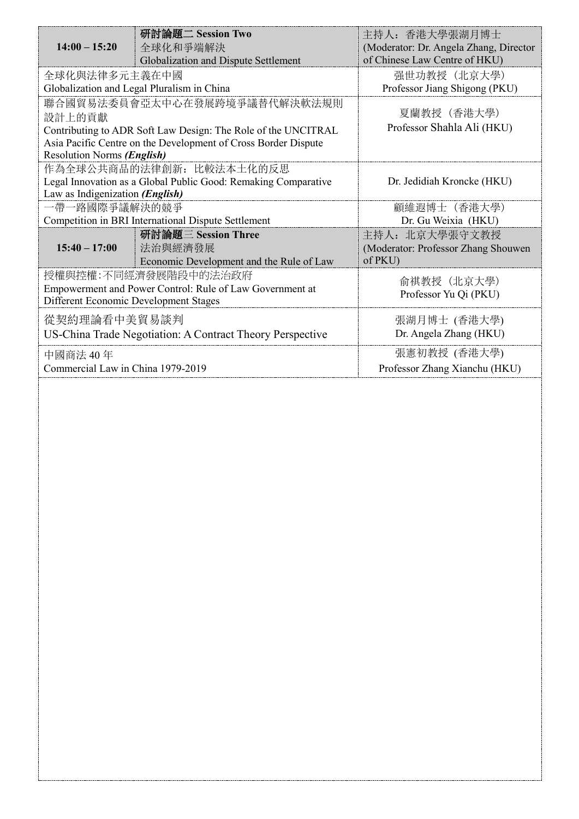|                                                                | 研討論題二 Session Two                                             | 主持人: 香港大學張湖月博士                         |
|----------------------------------------------------------------|---------------------------------------------------------------|----------------------------------------|
| $14:00 - 15:20$                                                | 全球化和爭端解決                                                      | (Moderator: Dr. Angela Zhang, Director |
|                                                                | Globalization and Dispute Settlement                          | of Chinese Law Centre of HKU)          |
| 全球化與法律多元主義在中國                                                  |                                                               | 强世功教授 (北京大學)                           |
| Globalization and Legal Pluralism in China                     |                                                               | Professor Jiang Shigong (PKU)          |
| 聯合國貿易法委員會亞太中心在發展跨境爭議替代解決軟法規則                                   |                                                               |                                        |
| 設計上的貢獻                                                         |                                                               | 夏蘭教授 (香港大學)                            |
|                                                                | Contributing to ADR Soft Law Design: The Role of the UNCITRAL | Professor Shahla Ali (HKU)             |
| Asia Pacific Centre on the Development of Cross Border Dispute |                                                               |                                        |
| Resolution Norms (English)                                     |                                                               |                                        |
| 作為全球公共商品的法律創新: 比較法本土化的反思                                       |                                                               |                                        |
| Legal Innovation as a Global Public Good: Remaking Comparative |                                                               | Dr. Jedidiah Kroncke (HKU)             |
| Law as Indigenization (English)                                |                                                               |                                        |
| 一帶一路國際爭議解決的競爭                                                  |                                                               | 顧維遐博士 (香港大學)                           |
| Competition in BRI International Dispute Settlement            |                                                               | Dr. Gu Weixia (HKU)                    |
|                                                                | 研討論題三 Session Three                                           | 主持人: 北京大學張守文教授                         |
| $15:40 - 17:00$                                                | 法治與經濟發展                                                       | (Moderator: Professor Zhang Shouwen    |
|                                                                | Economic Development and the Rule of Law                      | of PKU)                                |
| 授權與控權:不同經濟發展階段中的法治政府                                           |                                                               | 俞祺教授 (北京大學)                            |
| Empowerment and Power Control: Rule of Law Government at       |                                                               | Professor Yu Qi (PKU)                  |
| Different Economic Development Stages                          |                                                               |                                        |
| 從契約理論看中美貿易談判                                                   |                                                               | 張湖月博士 (香港大學)                           |
| US-China Trade Negotiation: A Contract Theory Perspective      |                                                               | Dr. Angela Zhang (HKU)                 |
| 中國商法 40年                                                       |                                                               | 張憲初教授 (香港大學)                           |
| Commercial Law in China 1979-2019                              |                                                               | Professor Zhang Xianchu (HKU)          |
|                                                                |                                                               |                                        |